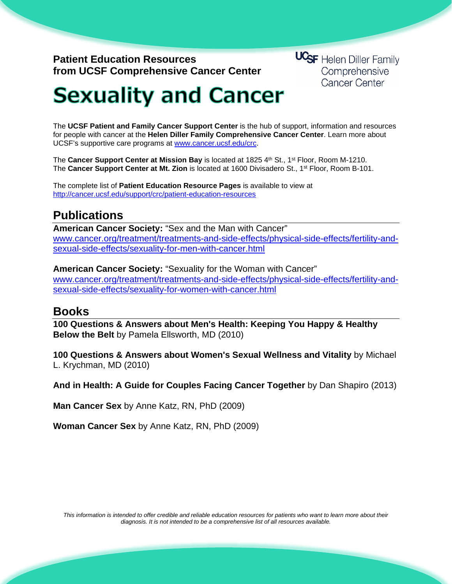## **Patient Education Resources from UCSF Comprehensive Cancer Center**

**UCSF** Helen Diller Family Comprehensive **Cancer Center** 

## **Sexuality and Cancer**

The **UCSF Patient and Family Cancer Support Center** is the hub of support, information and resources for people with cancer at the **Helen Diller Family Comprehensive Cancer Center**. Learn more about UCSF's supportive care programs at [www.cancer.ucsf.edu/crc.](http://www.cancer.ucsf.edu/crc)

The **Cancer Support Center at Mission Bay** is located at 1825 4th St., 1<sup>st</sup> Floor, Room M-1210. The **Cancer Support Center at Mt. Zion** is located at 1600 Divisadero St., 1st Floor, Room B-101.

The complete list of **Patient Education Resource Pages** is available to view at <http://cancer.ucsf.edu/support/crc/patient-education-resources>

## **Publications**

**American Cancer Society:** "Sex and the Man with Cancer" [www.cancer.org/treatment/treatments-and-side-effects/physical-side-effects/fertility-and](http://www.cancer.org/treatment/treatments-and-side-effects/physical-side-effects/fertility-and-sexual-side-effects/sexuality-for-men-with-cancer.html)[sexual-side-effects/sexuality-for-men-with-cancer.html](http://www.cancer.org/treatment/treatments-and-side-effects/physical-side-effects/fertility-and-sexual-side-effects/sexuality-for-men-with-cancer.html)

**American Cancer Society:** "Sexuality for the Woman with Cancer" www.cancer.org/treatment/treatments-and-side-effects/physical-side-effects/fertility-andsexual-side-effects/sexuality-for-women-with-cancer.html

## **Books**

**100 Questions & Answers about Men's Health: Keeping You Happy & Healthy Below the Belt** by Pamela Ellsworth, MD (2010)

**100 Questions & Answers about Women's Sexual Wellness and Vitality** by Michael L. Krychman, MD (2010)

**And in Health: A Guide for Couples Facing Cancer Together** by Dan Shapiro (2013)

**Man Cancer Sex** by Anne Katz, RN, PhD (2009)

**Woman Cancer Sex** by Anne Katz, RN, PhD (2009)